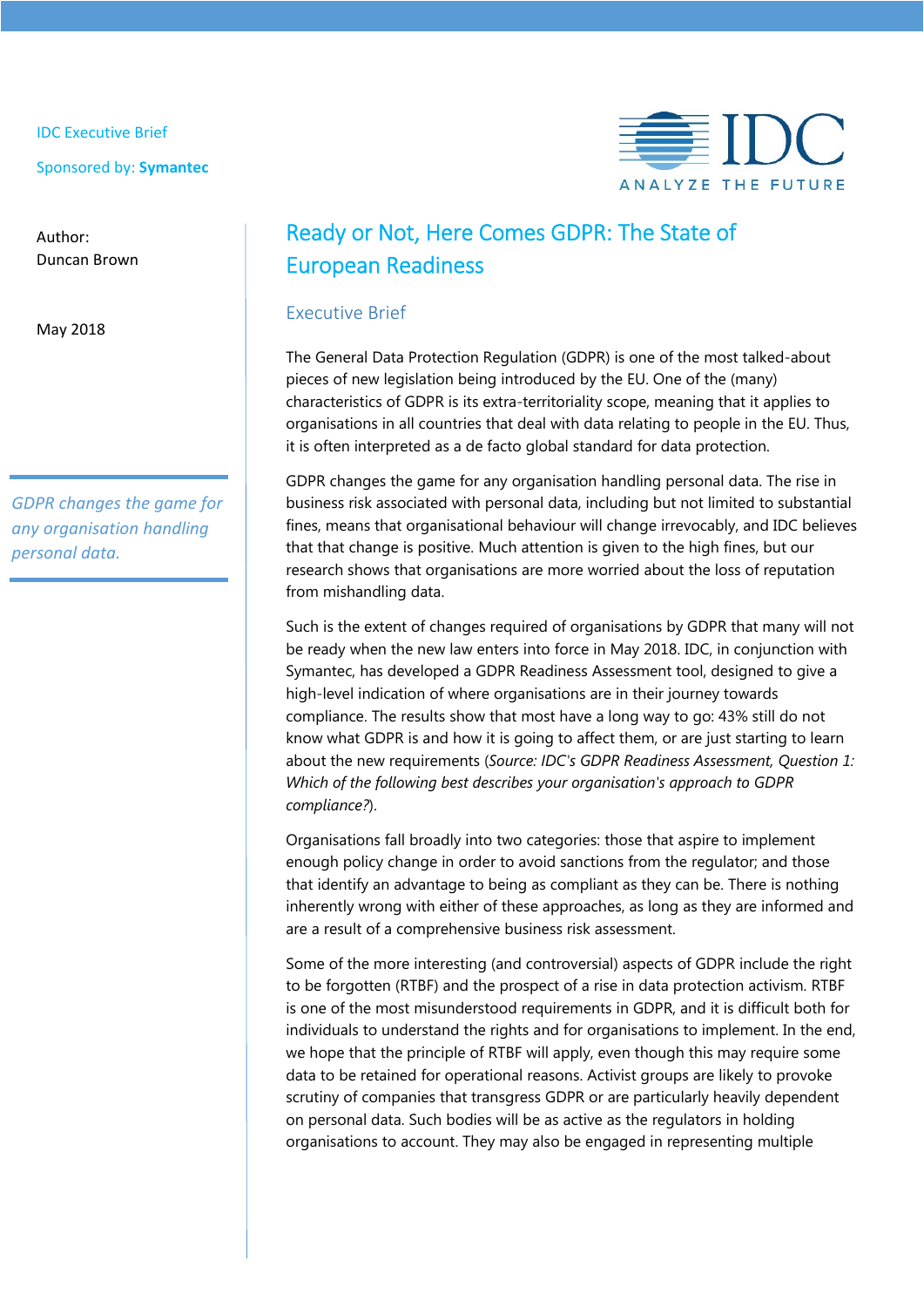IDC Executive Brief

Sponsored by: **Symantec**

Author: Duncan Brown

May 2018

*GDPR changes the game for any organisation handling personal data.*



# Ready or Not, Here Comes GDPR: The State of European Readiness

# Executive Brief

The General Data Protection Regulation (GDPR) is one of the most talked-about pieces of new legislation being introduced by the EU. One of the (many) characteristics of GDPR is its extra-territoriality scope, meaning that it applies to organisations in all countries that deal with data relating to people in the EU. Thus, it is often interpreted as a de facto global standard for data protection.

GDPR changes the game for any organisation handling personal data. The rise in business risk associated with personal data, including but not limited to substantial fines, means that organisational behaviour will change irrevocably, and IDC believes that that change is positive. Much attention is given to the high fines, but our research shows that organisations are more worried about the loss of reputation from mishandling data.

Such is the extent of changes required of organisations by GDPR that many will not be ready when the new law enters into force in May 2018. IDC, in conjunction with Symantec, has developed a GDPR Readiness Assessment tool, designed to give a high-level indication of where organisations are in their journey towards compliance. The results show that most have a long way to go: 43% still do not know what GDPR is and how it is going to affect them, or are just starting to learn about the new requirements (*Source: IDC's GDPR Readiness Assessment, Question 1: Which of the following best describes your organisation's approach to GDPR compliance?*).

Organisations fall broadly into two categories: those that aspire to implement enough policy change in order to avoid sanctions from the regulator; and those that identify an advantage to being as compliant as they can be. There is nothing inherently wrong with either of these approaches, as long as they are informed and are a result of a comprehensive business risk assessment.

Some of the more interesting (and controversial) aspects of GDPR include the right to be forgotten (RTBF) and the prospect of a rise in data protection activism. RTBF is one of the most misunderstood requirements in GDPR, and it is difficult both for individuals to understand the rights and for organisations to implement. In the end, we hope that the principle of RTBF will apply, even though this may require some data to be retained for operational reasons. Activist groups are likely to provoke scrutiny of companies that transgress GDPR or are particularly heavily dependent on personal data. Such bodies will be as active as the regulators in holding organisations to account. They may also be engaged in representing multiple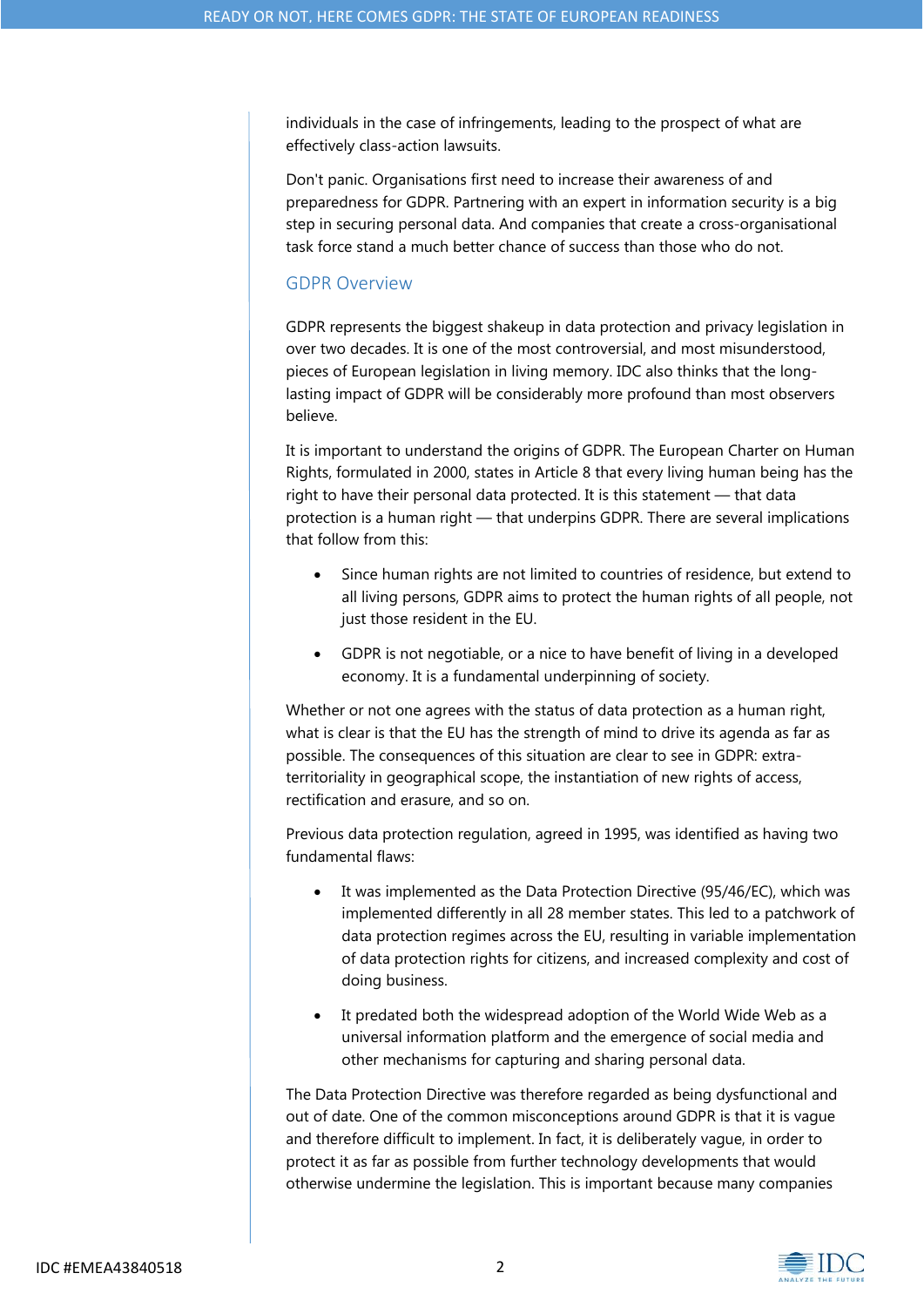individuals in the case of infringements, leading to the prospect of what are effectively class-action lawsuits.

Don't panic. Organisations first need to increase their awareness of and preparedness for GDPR. Partnering with an expert in information security is a big step in securing personal data. And companies that create a cross-organisational task force stand a much better chance of success than those who do not.

### GDPR Overview

GDPR represents the biggest shakeup in data protection and privacy legislation in over two decades. It is one of the most controversial, and most misunderstood, pieces of European legislation in living memory. IDC also thinks that the longlasting impact of GDPR will be considerably more profound than most observers believe.

It is important to understand the origins of GDPR. The European Charter on Human Rights, formulated in 2000, states in Article 8 that every living human being has the right to have their personal data protected. It is this statement — that data protection is a human right — that underpins GDPR. There are several implications that follow from this:

- Since human rights are not limited to countries of residence, but extend to all living persons, GDPR aims to protect the human rights of all people, not just those resident in the EU.
- GDPR is not negotiable, or a nice to have benefit of living in a developed economy. It is a fundamental underpinning of society.

Whether or not one agrees with the status of data protection as a human right, what is clear is that the EU has the strength of mind to drive its agenda as far as possible. The consequences of this situation are clear to see in GDPR: extraterritoriality in geographical scope, the instantiation of new rights of access, rectification and erasure, and so on.

Previous data protection regulation, agreed in 1995, was identified as having two fundamental flaws:

- It was implemented as the Data Protection Directive (95/46/EC), which was implemented differently in all 28 member states. This led to a patchwork of data protection regimes across the EU, resulting in variable implementation of data protection rights for citizens, and increased complexity and cost of doing business.
- It predated both the widespread adoption of the World Wide Web as a universal information platform and the emergence of social media and other mechanisms for capturing and sharing personal data.

The Data Protection Directive was therefore regarded as being dysfunctional and out of date. One of the common misconceptions around GDPR is that it is vague and therefore difficult to implement. In fact, it is deliberately vague, in order to protect it as far as possible from further technology developments that would otherwise undermine the legislation. This is important because many companies

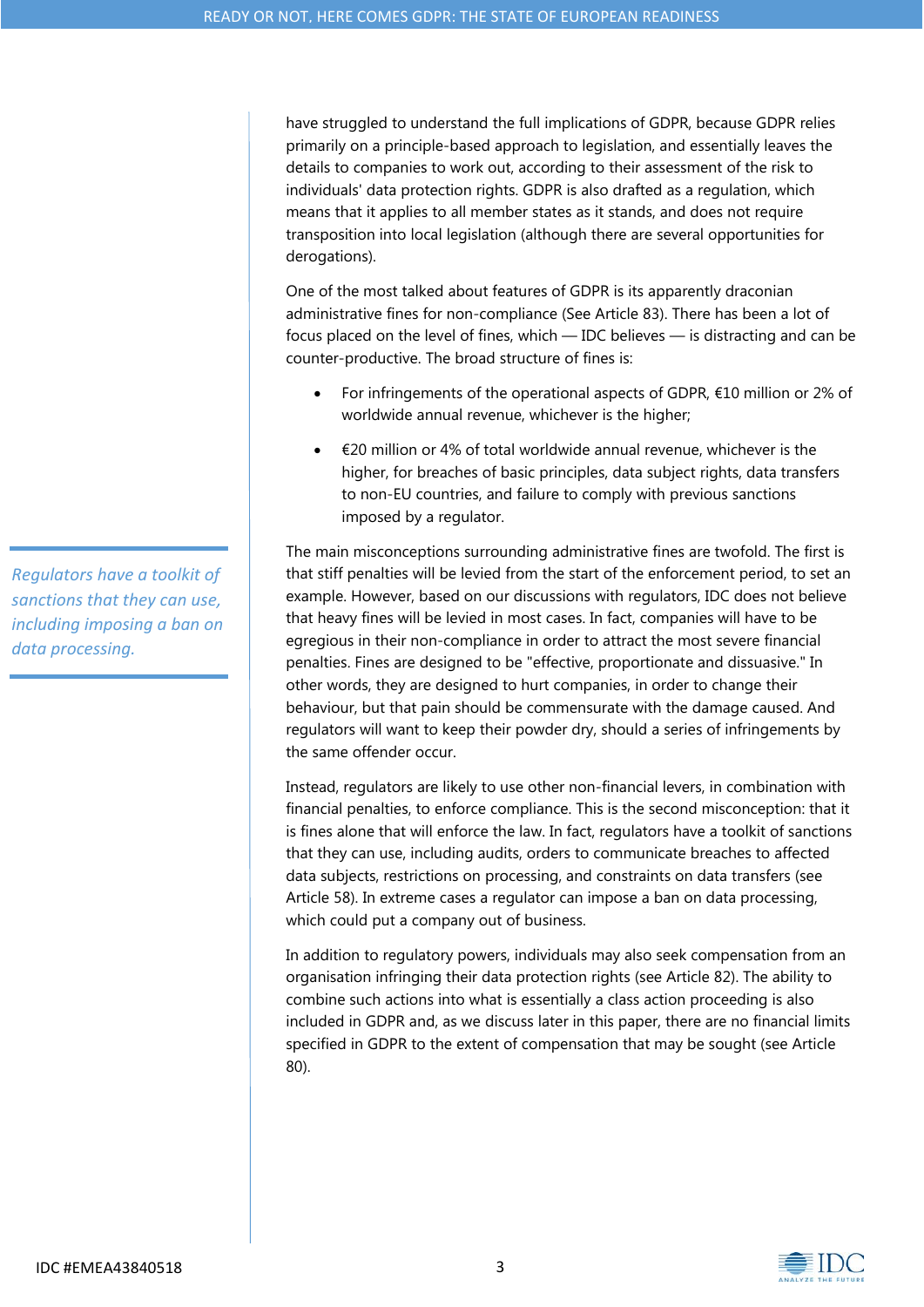have struggled to understand the full implications of GDPR, because GDPR relies primarily on a principle-based approach to legislation, and essentially leaves the details to companies to work out, according to their assessment of the risk to individuals' data protection rights. GDPR is also drafted as a regulation, which means that it applies to all member states as it stands, and does not require transposition into local legislation (although there are several opportunities for derogations).

One of the most talked about features of GDPR is its apparently draconian administrative fines for non-compliance (See Article 83). There has been a lot of focus placed on the level of fines, which — IDC believes — is distracting and can be counter-productive. The broad structure of fines is:

- For infringements of the operational aspects of GDPR, €10 million or 2% of worldwide annual revenue, whichever is the higher;
- €20 million or 4% of total worldwide annual revenue, whichever is the higher, for breaches of basic principles, data subject rights, data transfers to non-EU countries, and failure to comply with previous sanctions imposed by a regulator.

The main misconceptions surrounding administrative fines are twofold. The first is that stiff penalties will be levied from the start of the enforcement period, to set an example. However, based on our discussions with regulators, IDC does not believe that heavy fines will be levied in most cases. In fact, companies will have to be egregious in their non-compliance in order to attract the most severe financial penalties. Fines are designed to be "effective, proportionate and dissuasive." In other words, they are designed to hurt companies, in order to change their behaviour, but that pain should be commensurate with the damage caused. And regulators will want to keep their powder dry, should a series of infringements by the same offender occur.

Instead, regulators are likely to use other non-financial levers, in combination with financial penalties, to enforce compliance. This is the second misconception: that it is fines alone that will enforce the law. In fact, regulators have a toolkit of sanctions that they can use, including audits, orders to communicate breaches to affected data subjects, restrictions on processing, and constraints on data transfers (see Article 58). In extreme cases a regulator can impose a ban on data processing, which could put a company out of business.

In addition to regulatory powers, individuals may also seek compensation from an organisation infringing their data protection rights (see Article 82). The ability to combine such actions into what is essentially a class action proceeding is also included in GDPR and, as we discuss later in this paper, there are no financial limits specified in GDPR to the extent of compensation that may be sought (see Article 80).

*Regulators have a toolkit of sanctions that they can use, including imposing a ban on data processing.*

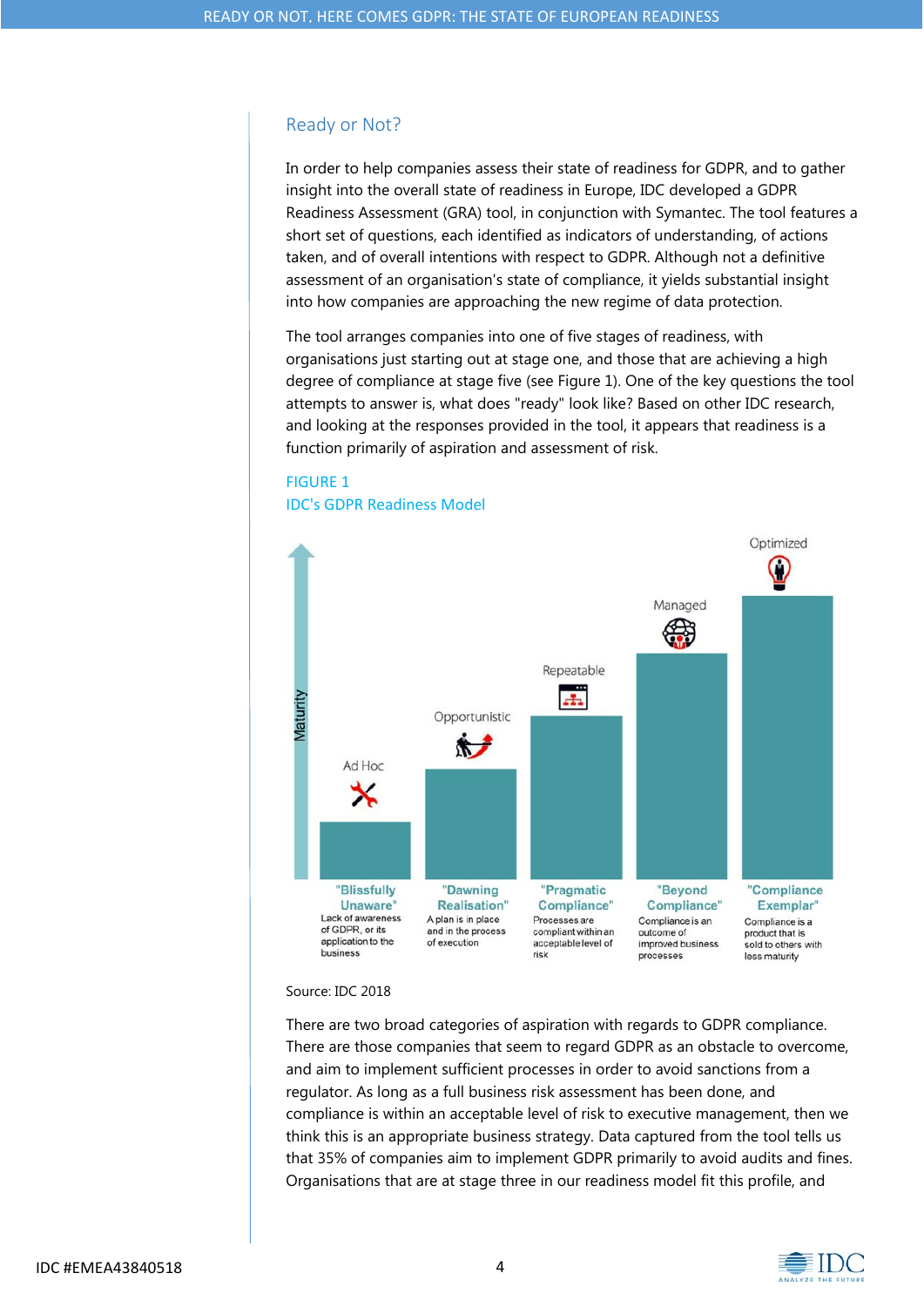## Ready or Not?

In order to help companies assess their state of readiness for GDPR, and to gather insight into the overall state of readiness in Europe, IDC developed a GDPR Readiness Assessment (GRA) tool, in conjunction with Symantec. The tool features a short set of questions, each identified as indicators of understanding, of actions taken, and of overall intentions with respect to GDPR. Although not a definitive assessment of an organisation's state of compliance, it yields substantial insight into how companies are approaching the new regime of data protection.

The tool arranges companies into one of five stages of readiness, with organisations just starting out at stage one, and those that are achieving a high degree of compliance at stage five (see Figure 1). One of the key questions the tool attempts to answer is, what does "ready" look like? Based on other IDC research, and looking at the responses provided in the tool, it appears that readiness is a function primarily of aspiration and assessment of risk.

# FIGURE 1





#### Source: IDC 2018

There are two broad categories of aspiration with regards to GDPR compliance. There are those companies that seem to regard GDPR as an obstacle to overcome, and aim to implement sufficient processes in order to avoid sanctions from a regulator. As long as a full business risk assessment has been done, and compliance is within an acceptable level of risk to executive management, then we think this is an appropriate business strategy. Data captured from the tool tells us that 35% of companies aim to implement GDPR primarily to avoid audits and fines. Organisations that are at stage three in our readiness model fit this profile, and

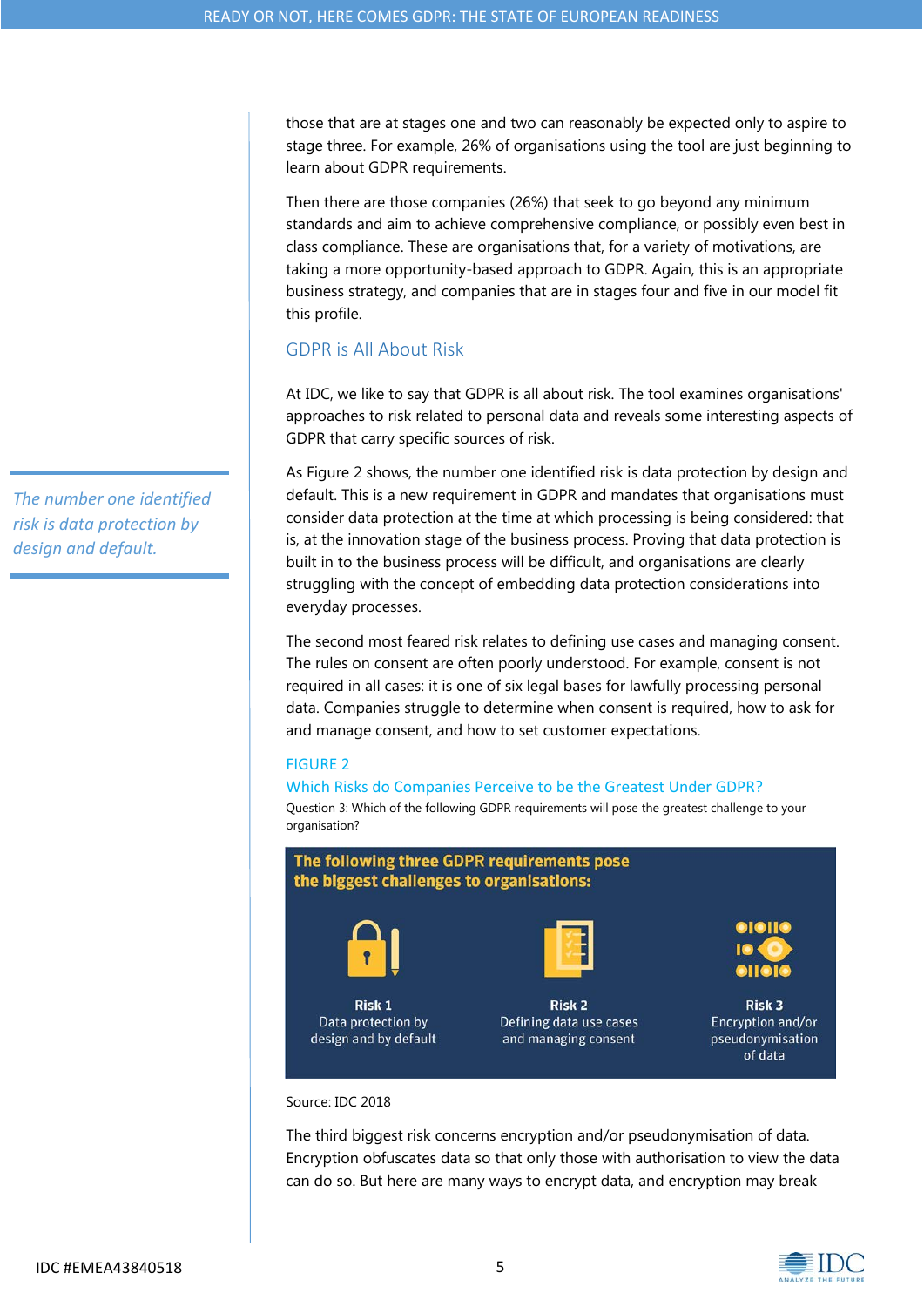those that are at stages one and two can reasonably be expected only to aspire to stage three. For example, 26% of organisations using the tool are just beginning to learn about GDPR requirements.

Then there are those companies (26%) that seek to go beyond any minimum standards and aim to achieve comprehensive compliance, or possibly even best in class compliance. These are organisations that, for a variety of motivations, are taking a more opportunity-based approach to GDPR. Again, this is an appropriate business strategy, and companies that are in stages four and five in our model fit this profile.

# GDPR is All About Risk

At IDC, we like to say that GDPR is all about risk. The tool examines organisations' approaches to risk related to personal data and reveals some interesting aspects of GDPR that carry specific sources of risk.

As Figure 2 shows, the number one identified risk is data protection by design and default. This is a new requirement in GDPR and mandates that organisations must consider data protection at the time at which processing is being considered: that is, at the innovation stage of the business process. Proving that data protection is built in to the business process will be difficult, and organisations are clearly struggling with the concept of embedding data protection considerations into everyday processes.

The second most feared risk relates to defining use cases and managing consent. The rules on consent are often poorly understood. For example, consent is not required in all cases: it is one of six legal bases for lawfully processing personal data. Companies struggle to determine when consent is required, how to ask for and manage consent, and how to set customer expectations.

### FIGURE 2

#### Which Risks do Companies Perceive to be the Greatest Under GDPR?

Question 3: Which of the following GDPR requirements will pose the greatest challenge to your organisation?



#### Source: IDC 2018

The third biggest risk concerns encryption and/or pseudonymisation of data. Encryption obfuscates data so that only those with authorisation to view the data can do so. But here are many ways to encrypt data, and encryption may break

*The number one identified risk is data protection by design and default.*

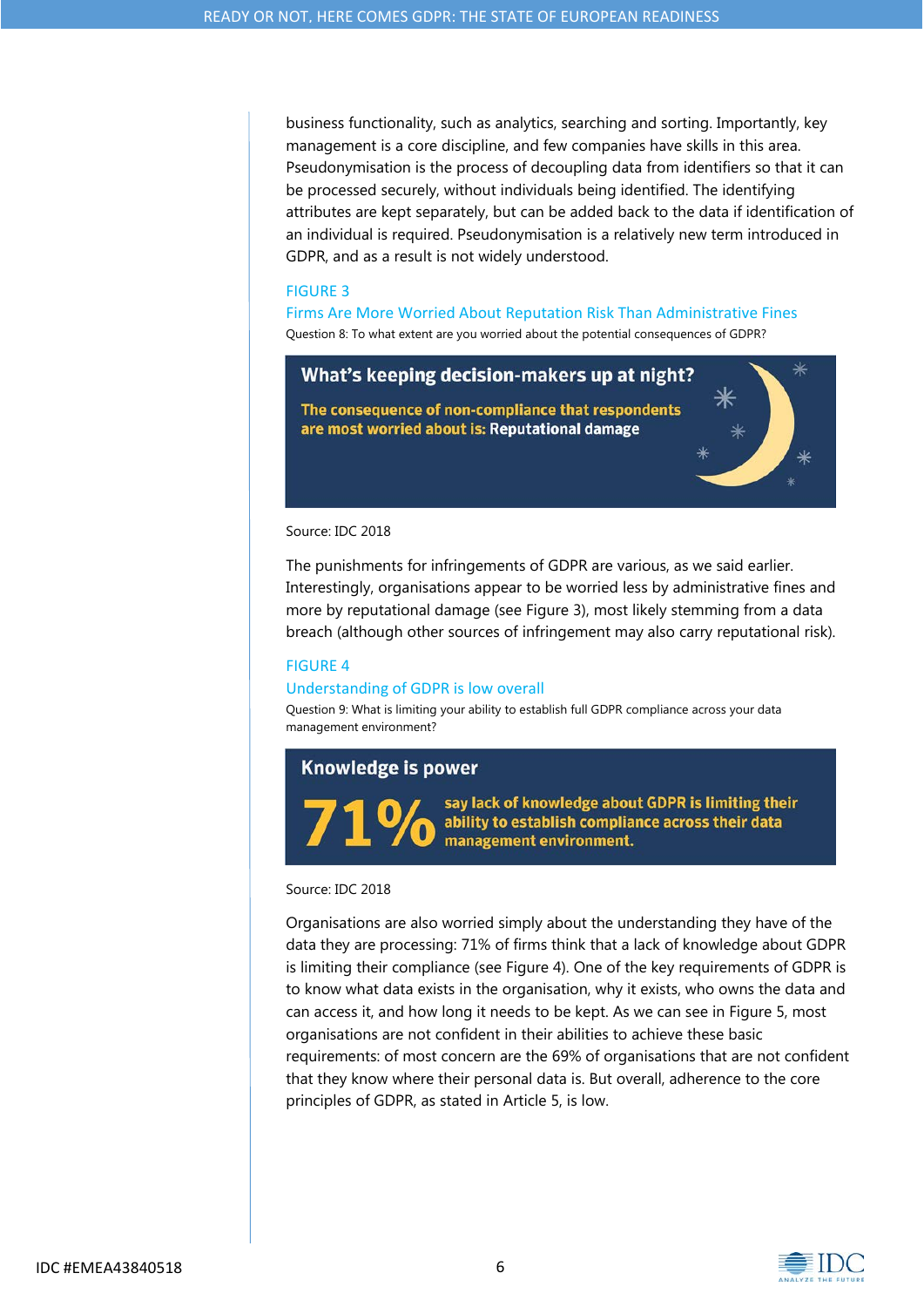business functionality, such as analytics, searching and sorting. Importantly, key management is a core discipline, and few companies have skills in this area. Pseudonymisation is the process of decoupling data from identifiers so that it can be processed securely, without individuals being identified. The identifying attributes are kept separately, but can be added back to the data if identification of an individual is required. Pseudonymisation is a relatively new term introduced in GDPR, and as a result is not widely understood.

#### FIGURE 3

Firms Are More Worried About Reputation Risk Than Administrative Fines Question 8: To what extent are you worried about the potential consequences of GDPR?

# What's keeping decision-makers up at night?

The consequence of non-compliance that respondents are most worried about is: Reputational damage

#### Source: IDC 2018

The punishments for infringements of GDPR are various, as we said earlier. Interestingly, organisations appear to be worried less by administrative fines and more by reputational damage (see Figure 3), most likely stemming from a data breach (although other sources of infringement may also carry reputational risk).

#### FIGURE 4

#### Understanding of GDPR is low overall

Question 9: What is limiting your ability to establish full GDPR compliance across your data management environment?

### **Knowledge is power**

say lack of knowledge about GDPR is limiting their ability to establish compliance across their data management environment.

#### Source: IDC 2018

Organisations are also worried simply about the understanding they have of the data they are processing: 71% of firms think that a lack of knowledge about GDPR is limiting their compliance (see Figure 4). One of the key requirements of GDPR is to know what data exists in the organisation, why it exists, who owns the data and can access it, and how long it needs to be kept. As we can see in Figure 5, most organisations are not confident in their abilities to achieve these basic requirements: of most concern are the 69% of organisations that are not confident that they know where their personal data is. But overall, adherence to the core principles of GDPR, as stated in Article 5, is low.



I

I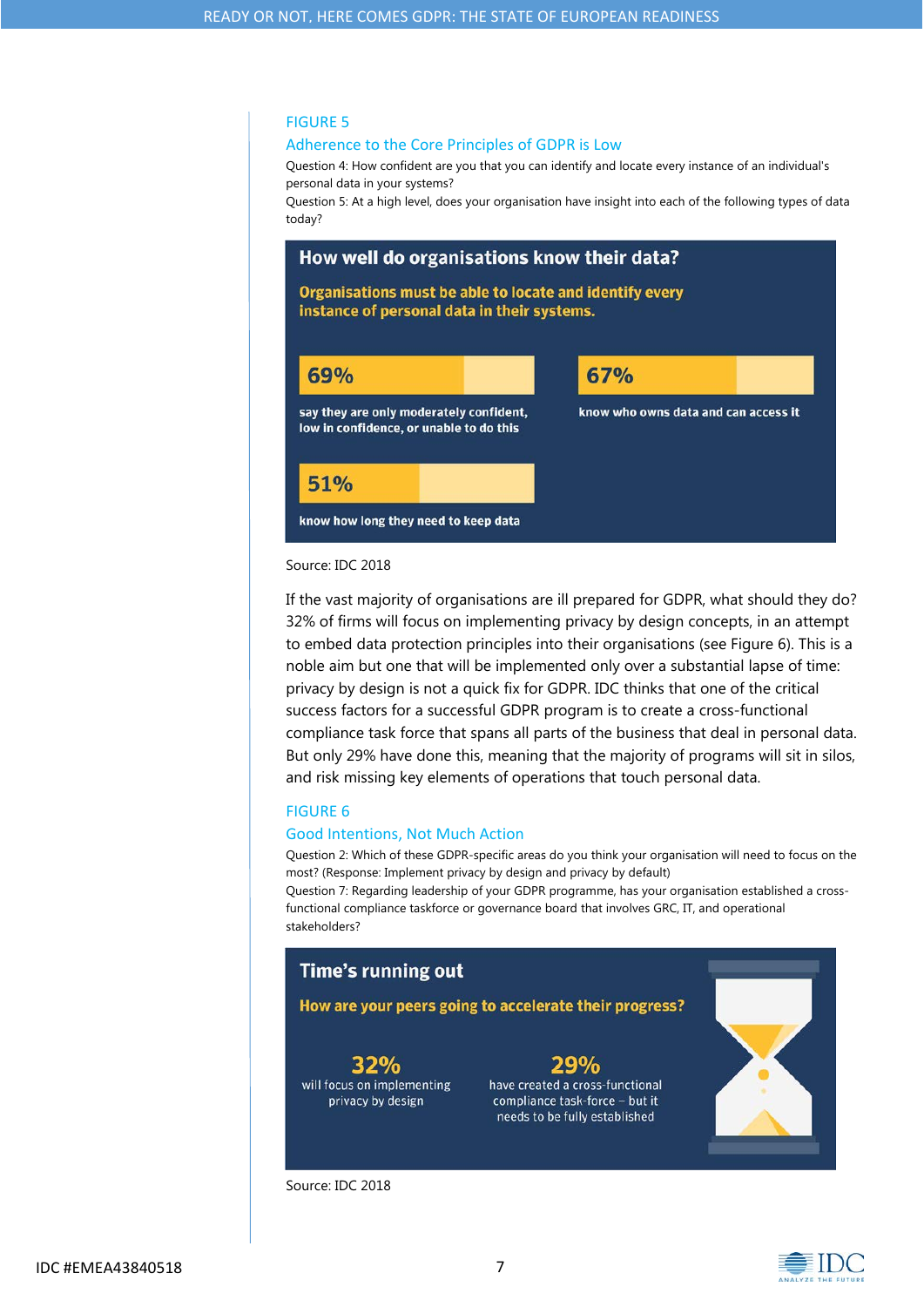#### FIGURE 5

#### Adherence to the Core Principles of GDPR is Low

Question 4: How confident are you that you can identify and locate every instance of an individual's personal data in your systems?

Question 5: At a high level, does your organisation have insight into each of the following types of data today?



#### Source: IDC 2018

If the vast majority of organisations are ill prepared for GDPR, what should they do? 32% of firms will focus on implementing privacy by design concepts, in an attempt to embed data protection principles into their organisations (see Figure 6). This is a noble aim but one that will be implemented only over a substantial lapse of time: privacy by design is not a quick fix for GDPR. IDC thinks that one of the critical success factors for a successful GDPR program is to create a cross-functional compliance task force that spans all parts of the business that deal in personal data. But only 29% have done this, meaning that the majority of programs will sit in silos, and risk missing key elements of operations that touch personal data.

#### FIGURE 6

#### Good Intentions, Not Much Action

Question 2: Which of these GDPR-specific areas do you think your organisation will need to focus on the most? (Response: Implement privacy by design and privacy by default)

Question 7: Regarding leadership of your GDPR programme, has your organisation established a crossfunctional compliance taskforce or governance board that involves GRC, IT, and operational stakeholders?

# **Time's running out** How are your peers going to accelerate their progress?  $32%$ **29%** will focus on implementing have created a cross-functional compliance task-force - but it privacy by design needs to be fully established

Source: IDC 2018





J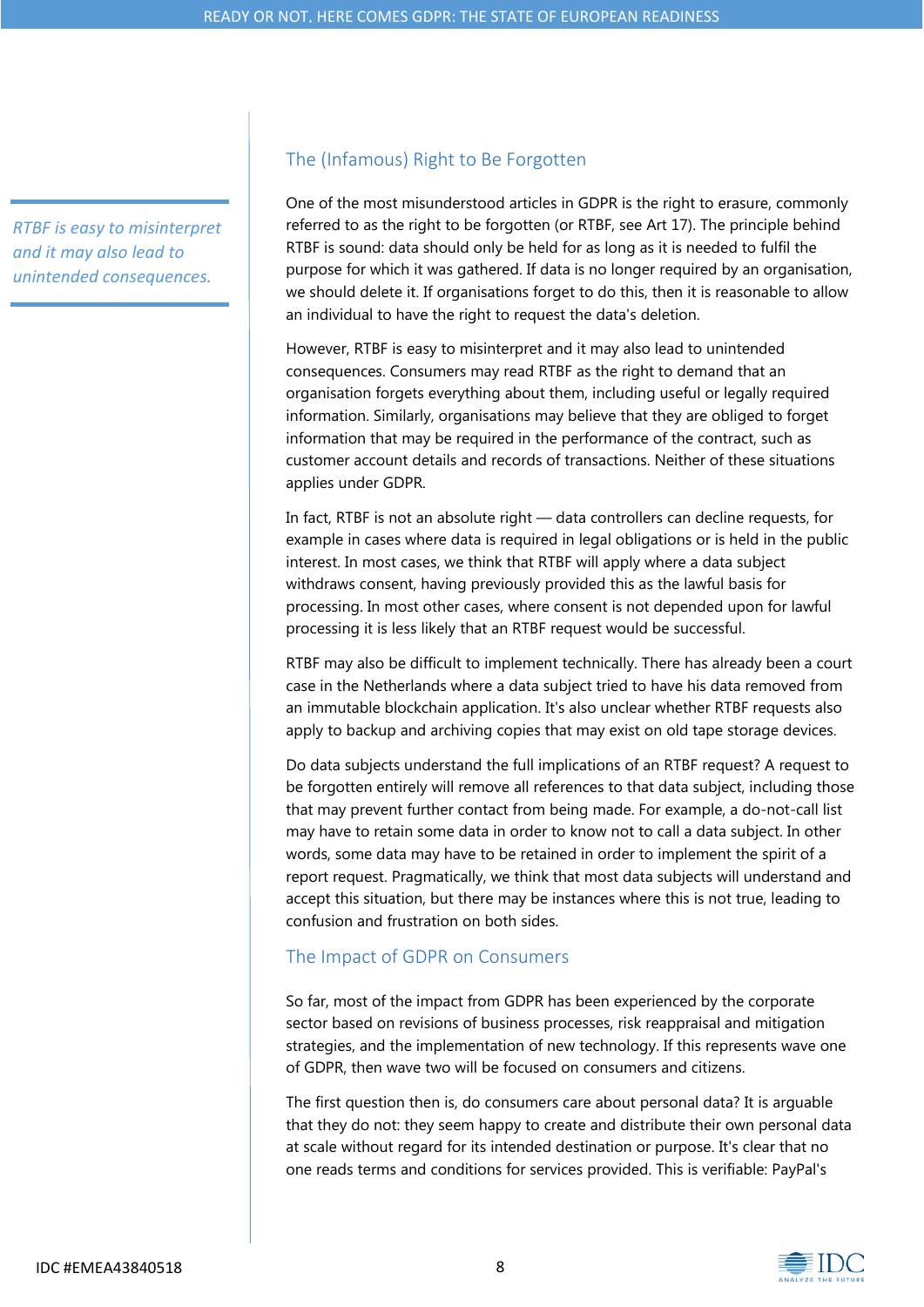*RTBF is easy to misinterpret and it may also lead to unintended consequences.*

# The (Infamous) Right to Be Forgotten

One of the most misunderstood articles in GDPR is the right to erasure, commonly referred to as the right to be forgotten (or RTBF, see Art 17). The principle behind RTBF is sound: data should only be held for as long as it is needed to fulfil the purpose for which it was gathered. If data is no longer required by an organisation, we should delete it. If organisations forget to do this, then it is reasonable to allow an individual to have the right to request the data's deletion.

However, RTBF is easy to misinterpret and it may also lead to unintended consequences. Consumers may read RTBF as the right to demand that an organisation forgets everything about them, including useful or legally required information. Similarly, organisations may believe that they are obliged to forget information that may be required in the performance of the contract, such as customer account details and records of transactions. Neither of these situations applies under GDPR.

In fact, RTBF is not an absolute right — data controllers can decline requests, for example in cases where data is required in legal obligations or is held in the public interest. In most cases, we think that RTBF will apply where a data subject withdraws consent, having previously provided this as the lawful basis for processing. In most other cases, where consent is not depended upon for lawful processing it is less likely that an RTBF request would be successful.

RTBF may also be difficult to implement technically. There has already been a court case in the Netherlands where a data subject tried to have his data removed from an immutable blockchain application. It's also unclear whether RTBF requests also apply to backup and archiving copies that may exist on old tape storage devices.

Do data subjects understand the full implications of an RTBF request? A request to be forgotten entirely will remove all references to that data subject, including those that may prevent further contact from being made. For example, a do-not-call list may have to retain some data in order to know not to call a data subject. In other words, some data may have to be retained in order to implement the spirit of a report request. Pragmatically, we think that most data subjects will understand and accept this situation, but there may be instances where this is not true, leading to confusion and frustration on both sides.

# The Impact of GDPR on Consumers

So far, most of the impact from GDPR has been experienced by the corporate sector based on revisions of business processes, risk reappraisal and mitigation strategies, and the implementation of new technology. If this represents wave one of GDPR, then wave two will be focused on consumers and citizens.

The first question then is, do consumers care about personal data? It is arguable that they do not: they seem happy to create and distribute their own personal data at scale without regard for its intended destination or purpose. It's clear that no one reads terms and conditions for services provided. This is verifiable: PayPal's

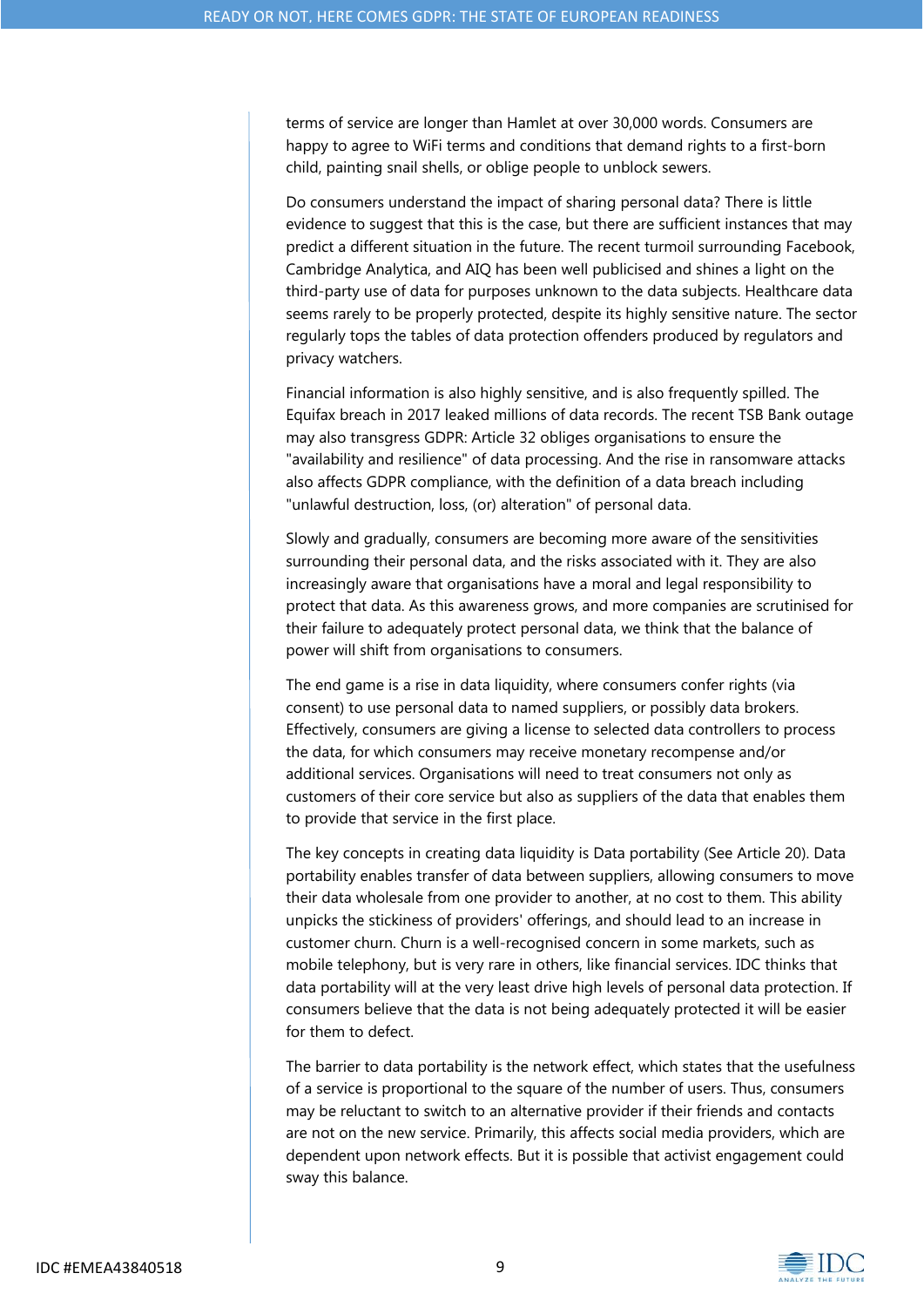terms of service are longer than Hamlet at over 30,000 words. Consumers are happy to agree to WiFi terms and conditions that demand rights to a first-born child, painting snail shells, or oblige people to unblock sewers.

Do consumers understand the impact of sharing personal data? There is little evidence to suggest that this is the case, but there are sufficient instances that may predict a different situation in the future. The recent turmoil surrounding Facebook, Cambridge Analytica, and AIQ has been well publicised and shines a light on the third-party use of data for purposes unknown to the data subjects. Healthcare data seems rarely to be properly protected, despite its highly sensitive nature. The sector regularly tops the tables of data protection offenders produced by regulators and privacy watchers.

Financial information is also highly sensitive, and is also frequently spilled. The Equifax breach in 2017 leaked millions of data records. The recent TSB Bank outage may also transgress GDPR: Article 32 obliges organisations to ensure the "availability and resilience" of data processing. And the rise in ransomware attacks also affects GDPR compliance, with the definition of a data breach including "unlawful destruction, loss, (or) alteration" of personal data.

Slowly and gradually, consumers are becoming more aware of the sensitivities surrounding their personal data, and the risks associated with it. They are also increasingly aware that organisations have a moral and legal responsibility to protect that data. As this awareness grows, and more companies are scrutinised for their failure to adequately protect personal data, we think that the balance of power will shift from organisations to consumers.

The end game is a rise in data liquidity, where consumers confer rights (via consent) to use personal data to named suppliers, or possibly data brokers. Effectively, consumers are giving a license to selected data controllers to process the data, for which consumers may receive monetary recompense and/or additional services. Organisations will need to treat consumers not only as customers of their core service but also as suppliers of the data that enables them to provide that service in the first place.

The key concepts in creating data liquidity is Data portability (See Article 20). Data portability enables transfer of data between suppliers, allowing consumers to move their data wholesale from one provider to another, at no cost to them. This ability unpicks the stickiness of providers' offerings, and should lead to an increase in customer churn. Churn is a well-recognised concern in some markets, such as mobile telephony, but is very rare in others, like financial services. IDC thinks that data portability will at the very least drive high levels of personal data protection. If consumers believe that the data is not being adequately protected it will be easier for them to defect.

The barrier to data portability is the network effect, which states that the usefulness of a service is proportional to the square of the number of users. Thus, consumers may be reluctant to switch to an alternative provider if their friends and contacts are not on the new service. Primarily, this affects social media providers, which are dependent upon network effects. But it is possible that activist engagement could sway this balance.

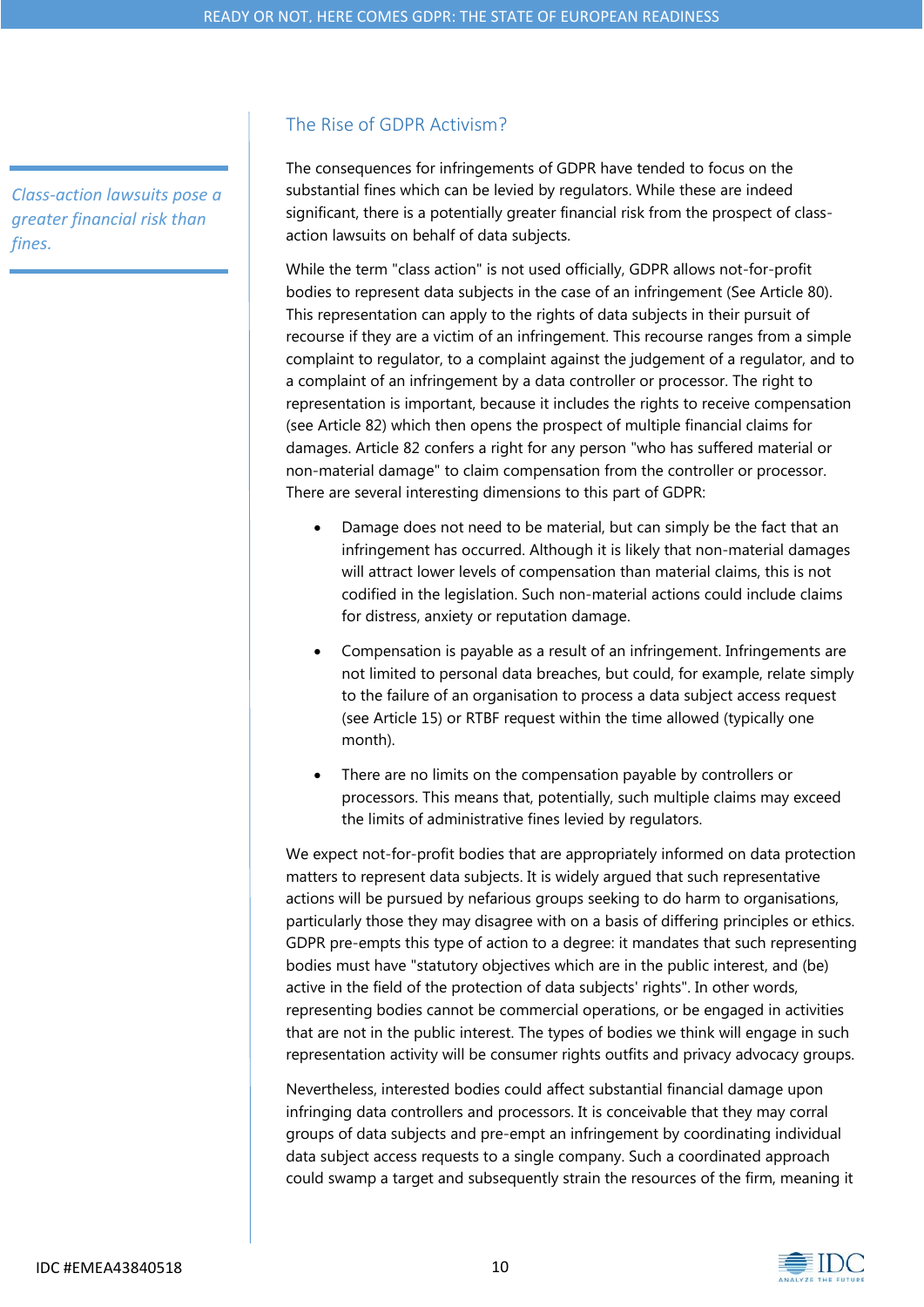*Class‐action lawsuits pose a greater financial risk than fines.*

# The Rise of GDPR Activism?

The consequences for infringements of GDPR have tended to focus on the substantial fines which can be levied by regulators. While these are indeed significant, there is a potentially greater financial risk from the prospect of classaction lawsuits on behalf of data subjects.

While the term "class action" is not used officially, GDPR allows not-for-profit bodies to represent data subjects in the case of an infringement (See Article 80). This representation can apply to the rights of data subjects in their pursuit of recourse if they are a victim of an infringement. This recourse ranges from a simple complaint to regulator, to a complaint against the judgement of a regulator, and to a complaint of an infringement by a data controller or processor. The right to representation is important, because it includes the rights to receive compensation (see Article 82) which then opens the prospect of multiple financial claims for damages. Article 82 confers a right for any person "who has suffered material or non-material damage" to claim compensation from the controller or processor. There are several interesting dimensions to this part of GDPR:

- Damage does not need to be material, but can simply be the fact that an infringement has occurred. Although it is likely that non-material damages will attract lower levels of compensation than material claims, this is not codified in the legislation. Such non-material actions could include claims for distress, anxiety or reputation damage.
- Compensation is payable as a result of an infringement. Infringements are not limited to personal data breaches, but could, for example, relate simply to the failure of an organisation to process a data subject access request (see Article 15) or RTBF request within the time allowed (typically one month).
- There are no limits on the compensation payable by controllers or processors. This means that, potentially, such multiple claims may exceed the limits of administrative fines levied by regulators.

We expect not-for-profit bodies that are appropriately informed on data protection matters to represent data subjects. It is widely argued that such representative actions will be pursued by nefarious groups seeking to do harm to organisations, particularly those they may disagree with on a basis of differing principles or ethics. GDPR pre-empts this type of action to a degree: it mandates that such representing bodies must have "statutory objectives which are in the public interest, and (be) active in the field of the protection of data subjects' rights". In other words, representing bodies cannot be commercial operations, or be engaged in activities that are not in the public interest. The types of bodies we think will engage in such representation activity will be consumer rights outfits and privacy advocacy groups.

Nevertheless, interested bodies could affect substantial financial damage upon infringing data controllers and processors. It is conceivable that they may corral groups of data subjects and pre-empt an infringement by coordinating individual data subject access requests to a single company. Such a coordinated approach could swamp a target and subsequently strain the resources of the firm, meaning it

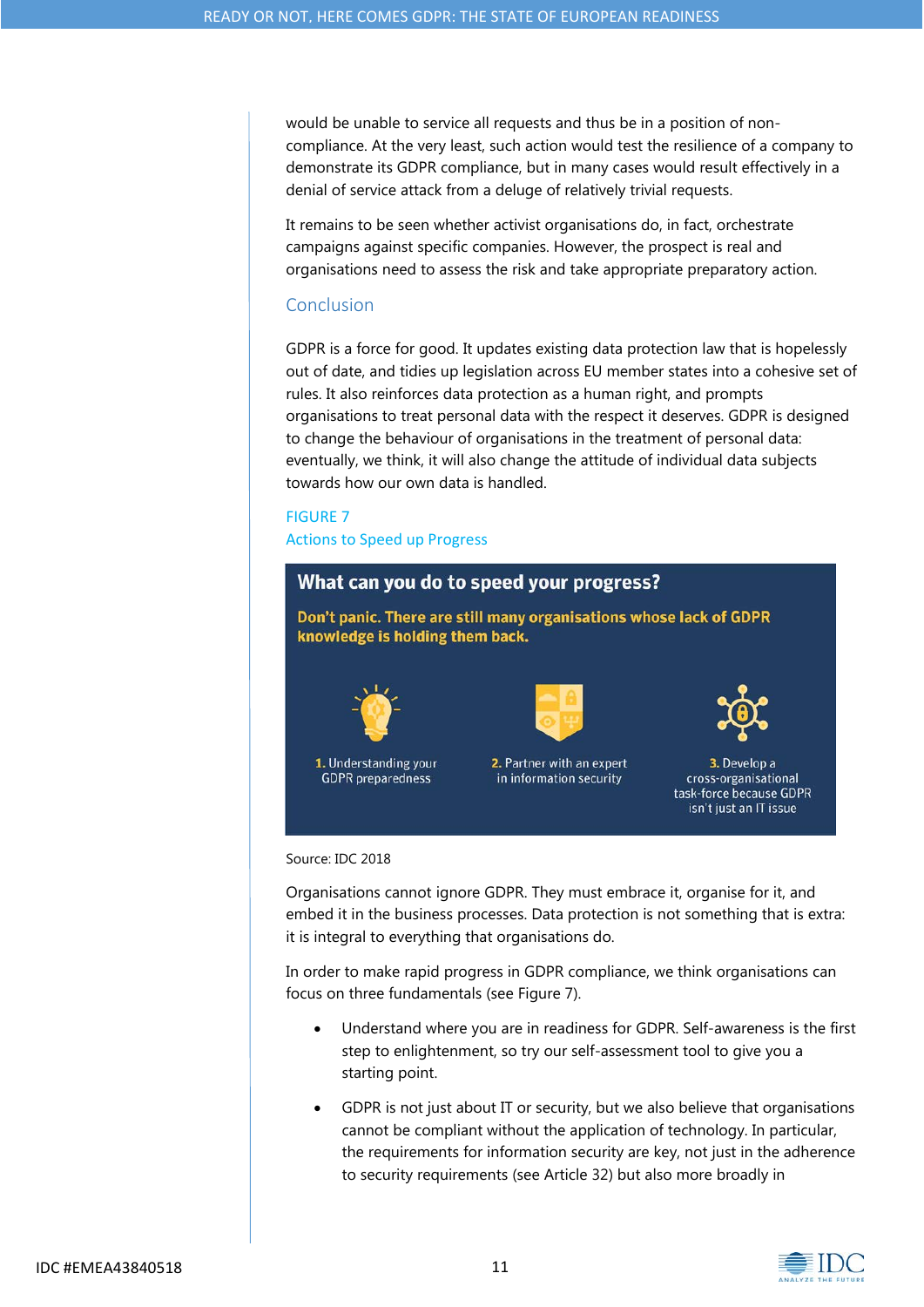would be unable to service all requests and thus be in a position of noncompliance. At the very least, such action would test the resilience of a company to demonstrate its GDPR compliance, but in many cases would result effectively in a denial of service attack from a deluge of relatively trivial requests.

It remains to be seen whether activist organisations do, in fact, orchestrate campaigns against specific companies. However, the prospect is real and organisations need to assess the risk and take appropriate preparatory action.

### Conclusion

GDPR is a force for good. It updates existing data protection law that is hopelessly out of date, and tidies up legislation across EU member states into a cohesive set of rules. It also reinforces data protection as a human right, and prompts organisations to treat personal data with the respect it deserves. GDPR is designed to change the behaviour of organisations in the treatment of personal data: eventually, we think, it will also change the attitude of individual data subjects towards how our own data is handled.

### FIGURE 7

Actions to Speed up Progress



#### Source: IDC 2018

Organisations cannot ignore GDPR. They must embrace it, organise for it, and embed it in the business processes. Data protection is not something that is extra: it is integral to everything that organisations do.

In order to make rapid progress in GDPR compliance, we think organisations can focus on three fundamentals (see Figure 7).

- Understand where you are in readiness for GDPR. Self-awareness is the first step to enlightenment, so try our self-assessment tool to give you a starting point.
- GDPR is not just about IT or security, but we also believe that organisations cannot be compliant without the application of technology. In particular, the requirements for information security are key, not just in the adherence to security requirements (see Article 32) but also more broadly in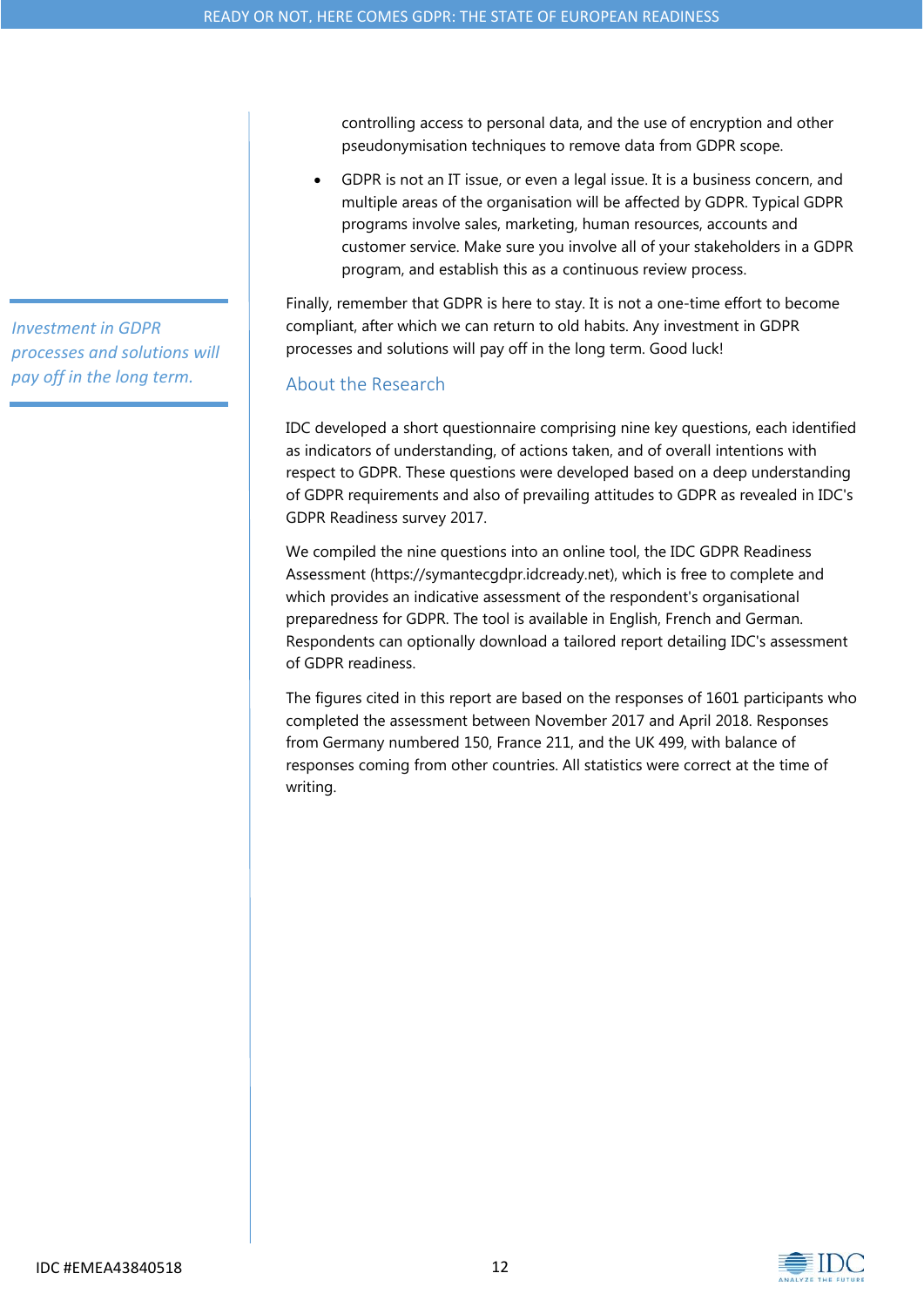*Investment in GDPR processes and solutions will pay off in the long term.*

controlling access to personal data, and the use of encryption and other pseudonymisation techniques to remove data from GDPR scope.

 GDPR is not an IT issue, or even a legal issue. It is a business concern, and multiple areas of the organisation will be affected by GDPR. Typical GDPR programs involve sales, marketing, human resources, accounts and customer service. Make sure you involve all of your stakeholders in a GDPR program, and establish this as a continuous review process.

Finally, remember that GDPR is here to stay. It is not a one-time effort to become compliant, after which we can return to old habits. Any investment in GDPR processes and solutions will pay off in the long term. Good luck!

# About the Research

IDC developed a short questionnaire comprising nine key questions, each identified as indicators of understanding, of actions taken, and of overall intentions with respect to GDPR. These questions were developed based on a deep understanding of GDPR requirements and also of prevailing attitudes to GDPR as revealed in IDC's GDPR Readiness survey 2017.

We compiled the nine questions into an online tool, the IDC GDPR Readiness Assessment (https://symantecgdpr.idcready.net), which is free to complete and which provides an indicative assessment of the respondent's organisational preparedness for GDPR. The tool is available in English, French and German. Respondents can optionally download a tailored report detailing IDC's assessment of GDPR readiness.

The figures cited in this report are based on the responses of 1601 participants who completed the assessment between November 2017 and April 2018. Responses from Germany numbered 150, France 211, and the UK 499, with balance of responses coming from other countries. All statistics were correct at the time of writing.